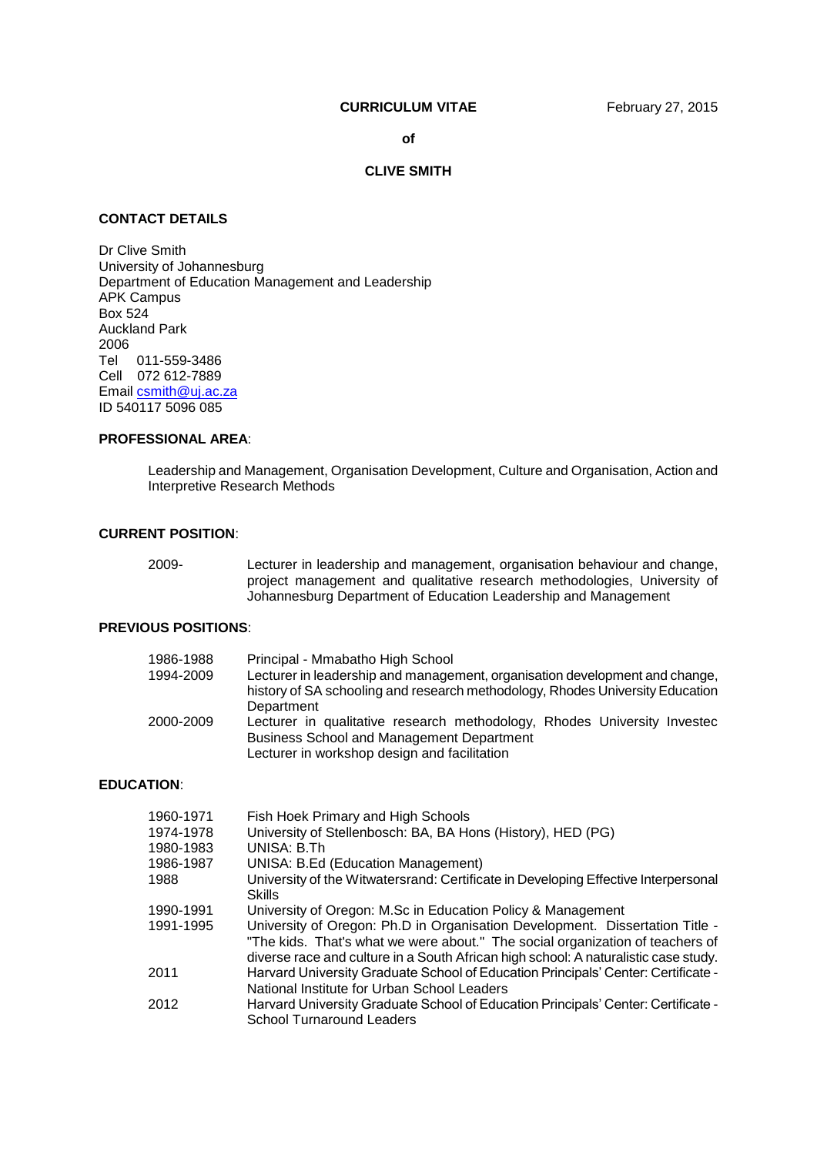# **CURRICULUM VITAE** February 27, 2015

**of**

#### **CLIVE SMITH**

# **CONTACT DETAILS**

Dr Clive Smith University of Johannesburg Department of Education Management and Leadership APK Campus Box 524 Auckland Park 2006 Tel 011-559-3486 Cell 072 612-7889 Emai[l csmith@uj.ac.za](mailto:csmith@uj.ac.za) ID 540117 5096 085

# **PROFESSIONAL AREA**:

Leadership and Management, Organisation Development, Culture and Organisation, Action and Interpretive Research Methods

# **CURRENT POSITION**:

| 2009- | Lecturer in leadership and management, organisation behaviour and change, |
|-------|---------------------------------------------------------------------------|
|       | project management and qualitative research methodologies, University of  |
|       | Johannesburg Department of Education Leadership and Management            |

# **PREVIOUS POSITIONS**:

| 1986-1988 | Principal - Mmabatho High School                                                                                                                                             |
|-----------|------------------------------------------------------------------------------------------------------------------------------------------------------------------------------|
| 1994-2009 | Lecturer in leadership and management, organisation development and change,<br>history of SA schooling and research methodology, Rhodes University Education                 |
|           | Department                                                                                                                                                                   |
| 2000-2009 | Lecturer in qualitative research methodology, Rhodes University Investec<br><b>Business School and Management Department</b><br>Lecturer in workshop design and facilitation |

### **EDUCATION**:

| 1960-1971 | Fish Hoek Primary and High Schools                                                                                                                                                                                                                   |
|-----------|------------------------------------------------------------------------------------------------------------------------------------------------------------------------------------------------------------------------------------------------------|
| 1974-1978 | University of Stellenbosch: BA, BA Hons (History), HED (PG)                                                                                                                                                                                          |
| 1980-1983 | UNISA: B.Th                                                                                                                                                                                                                                          |
| 1986-1987 | <b>UNISA: B.Ed (Education Management)</b>                                                                                                                                                                                                            |
| 1988      | University of the Witwatersrand: Certificate in Developing Effective Interpersonal<br><b>Skills</b>                                                                                                                                                  |
| 1990-1991 | University of Oregon: M.Sc in Education Policy & Management                                                                                                                                                                                          |
| 1991-1995 | University of Oregon: Ph.D in Organisation Development. Dissertation Title -<br>"The kids. That's what we were about." The social organization of teachers of<br>diverse race and culture in a South African high school: A naturalistic case study. |
| 2011      | Harvard University Graduate School of Education Principals' Center: Certificate -<br>National Institute for Urban School Leaders                                                                                                                     |
| 2012      | Harvard University Graduate School of Education Principals' Center: Certificate -<br>School Turnaround Leaders                                                                                                                                       |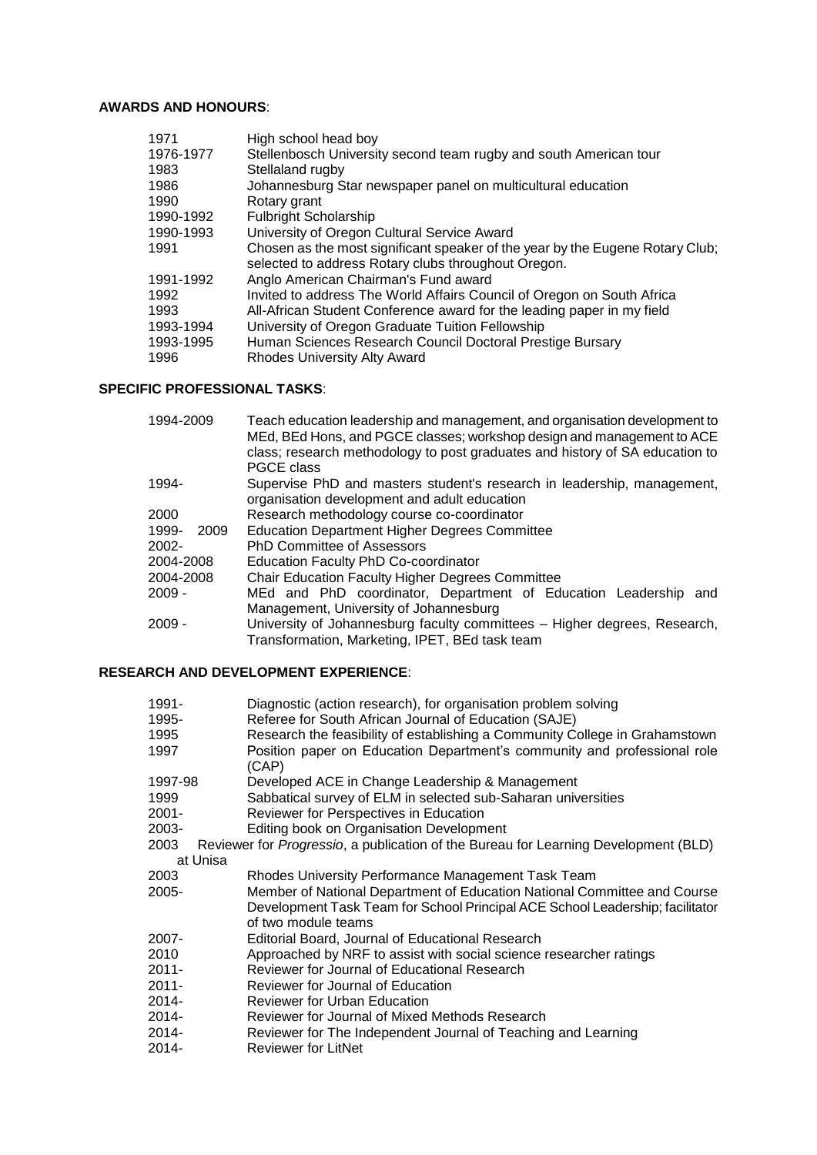# **AWARDS AND HONOURS**:

| 1971      | High school head boy                                                                                                                 |
|-----------|--------------------------------------------------------------------------------------------------------------------------------------|
| 1976-1977 | Stellenbosch University second team rugby and south American tour                                                                    |
| 1983      | Stellaland rugby                                                                                                                     |
| 1986      | Johannesburg Star newspaper panel on multicultural education                                                                         |
| 1990      | Rotary grant                                                                                                                         |
| 1990-1992 | <b>Fulbright Scholarship</b>                                                                                                         |
| 1990-1993 | University of Oregon Cultural Service Award                                                                                          |
| 1991      | Chosen as the most significant speaker of the year by the Eugene Rotary Club;<br>selected to address Rotary clubs throughout Oregon. |
| 1991-1992 | Anglo American Chairman's Fund award                                                                                                 |
| 1992      | Invited to address The World Affairs Council of Oregon on South Africa                                                               |
| 1993      | All-African Student Conference award for the leading paper in my field                                                               |
| 1993-1994 | University of Oregon Graduate Tuition Fellowship                                                                                     |
| 1993-1995 | Human Sciences Research Council Doctoral Prestige Bursary                                                                            |
| 1996      | <b>Rhodes University Alty Award</b>                                                                                                  |
|           |                                                                                                                                      |

# **SPECIFIC PROFESSIONAL TASKS**:

| 1994-2009     | Teach education leadership and management, and organisation development to<br>MEd, BEd Hons, and PGCE classes; workshop design and management to ACE<br>class; research methodology to post graduates and history of SA education to<br>PGCE class |
|---------------|----------------------------------------------------------------------------------------------------------------------------------------------------------------------------------------------------------------------------------------------------|
| 1994-         | Supervise PhD and masters student's research in leadership, management,<br>organisation development and adult education                                                                                                                            |
| 2000          | Research methodology course co-coordinator                                                                                                                                                                                                         |
| 1999-<br>2009 | <b>Education Department Higher Degrees Committee</b>                                                                                                                                                                                               |
| 2002-         | PhD Committee of Assessors                                                                                                                                                                                                                         |
| 2004-2008     | Education Faculty PhD Co-coordinator                                                                                                                                                                                                               |
| 2004-2008     | <b>Chair Education Faculty Higher Degrees Committee</b>                                                                                                                                                                                            |
| 2009 -        | MEd and PhD coordinator, Department of Education Leadership and                                                                                                                                                                                    |
|               | Management, University of Johannesburg                                                                                                                                                                                                             |
| 2009 -        | University of Johannesburg faculty committees - Higher degrees, Research,<br>Transformation, Marketing, IPET, BEd task team                                                                                                                        |

# **RESEARCH AND DEVELOPMENT EXPERIENCE**:

| 1991-    | Diagnostic (action research), for organisation problem solving                              |
|----------|---------------------------------------------------------------------------------------------|
| 1995-    | Referee for South African Journal of Education (SAJE)                                       |
| 1995     | Research the feasibility of establishing a Community College in Grahamstown                 |
| 1997     | Position paper on Education Department's community and professional role                    |
|          | (CAP)                                                                                       |
| 1997-98  | Developed ACE in Change Leadership & Management                                             |
| 1999     | Sabbatical survey of ELM in selected sub-Saharan universities                               |
| 2001-    | Reviewer for Perspectives in Education                                                      |
| 2003-    | Editing book on Organisation Development                                                    |
| 2003     | Reviewer for <i>Progressio</i> , a publication of the Bureau for Learning Development (BLD) |
| at Unisa |                                                                                             |
| 2003     | Rhodes University Performance Management Task Team                                          |
| 2005-    | Member of National Department of Education National Committee and Course                    |
|          | Development Task Team for School Principal ACE School Leadership; facilitator               |
|          | of two module teams                                                                         |
| 2007-    | Editorial Board, Journal of Educational Research                                            |
| 2010     | Approached by NRF to assist with social science researcher ratings                          |
| 2011-    | Reviewer for Journal of Educational Research                                                |
| 2011-    | Reviewer for Journal of Education                                                           |
| 2014-    | Reviewer for Urban Education                                                                |
| 2014-    | Reviewer for Journal of Mixed Methods Research                                              |
| 2014-    | Reviewer for The Independent Journal of Teaching and Learning                               |
| 2014-    | <b>Reviewer for LitNet</b>                                                                  |
|          |                                                                                             |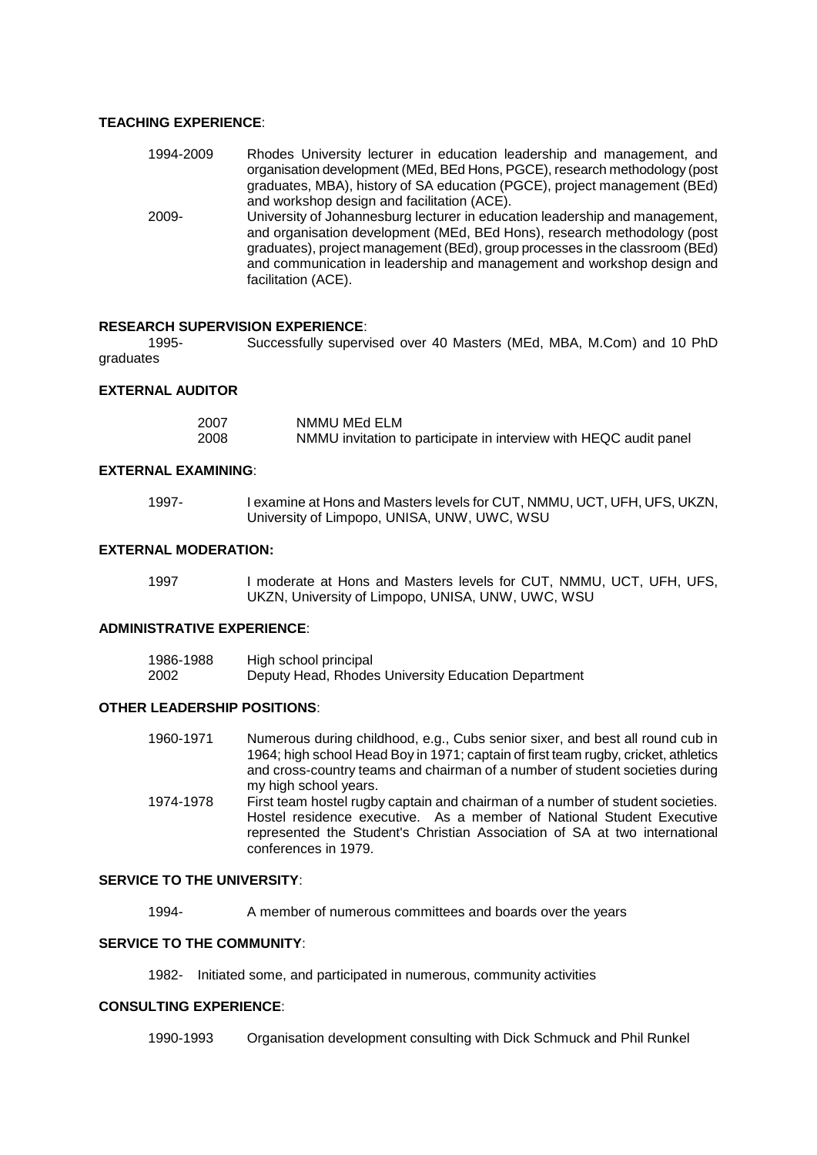# **TEACHING EXPERIENCE**:

| 1994-2009 | Rhodes University lecturer in education leadership and management, and                                                                                                                                                                  |
|-----------|-----------------------------------------------------------------------------------------------------------------------------------------------------------------------------------------------------------------------------------------|
|           | organisation development (MEd, BEd Hons, PGCE), research methodology (post                                                                                                                                                              |
|           | graduates, MBA), history of SA education (PGCE), project management (BEd)                                                                                                                                                               |
|           | and workshop design and facilitation (ACE).                                                                                                                                                                                             |
| 2009-     | University of Johannesburg lecturer in education leadership and management,<br>and organisation development (MEd, BEd Hons), research methodology (post<br>graduates), project management (BEd), group processes in the classroom (BEd) |
|           | and communication in leadership and management and workshop design and                                                                                                                                                                  |
|           | facilitation (ACE).                                                                                                                                                                                                                     |

# **RESEARCH SUPERVISION EXPERIENCE**:

1995- Successfully supervised over 40 Masters (MEd, MBA, M.Com) and 10 PhD graduates

### **EXTERNAL AUDITOR**

| 2007 | NMMU MEd ELM                                                      |
|------|-------------------------------------------------------------------|
| 2008 | NMMU invitation to participate in interview with HEQC audit panel |

### **EXTERNAL EXAMINING**:

| 1997- | I examine at Hons and Masters levels for CUT, NMMU, UCT, UFH, UFS, UKZN, |
|-------|--------------------------------------------------------------------------|
|       | University of Limpopo, UNISA, UNW, UWC, WSU                              |

# **EXTERNAL MODERATION:**

| 1997 | I moderate at Hons and Masters levels for CUT, NMMU, UCT, UFH, UFS, |
|------|---------------------------------------------------------------------|
|      | UKZN, University of Limpopo, UNISA, UNW, UWC, WSU                   |

# **ADMINISTRATIVE EXPERIENCE**:

| 1986-1988 | High school principal                               |
|-----------|-----------------------------------------------------|
| 2002      | Deputy Head, Rhodes University Education Department |

### **OTHER LEADERSHIP POSITIONS**:

| 1960-1971 | Numerous during childhood, e.g., Cubs senior sixer, and best all round cub in<br>1964; high school Head Boy in 1971; captain of first team rugby, cricket, athletics |
|-----------|----------------------------------------------------------------------------------------------------------------------------------------------------------------------|
|           | and cross-country teams and chairman of a number of student societies during                                                                                         |
|           | my high school years.                                                                                                                                                |
| 1074-1078 | First team hostel rugby captain and chairman of a number of student societies                                                                                        |

1974-1978 First team hostel rugby captain and chairman of a number of student societies. Hostel residence executive. As a member of National Student Executive represented the Student's Christian Association of SA at two international conferences in 1979.

# **SERVICE TO THE UNIVERSITY**:

1994- A member of numerous committees and boards over the years

# **SERVICE TO THE COMMUNITY**:

1982- Initiated some, and participated in numerous, community activities

### **CONSULTING EXPERIENCE**:

1990-1993 Organisation development consulting with Dick Schmuck and Phil Runkel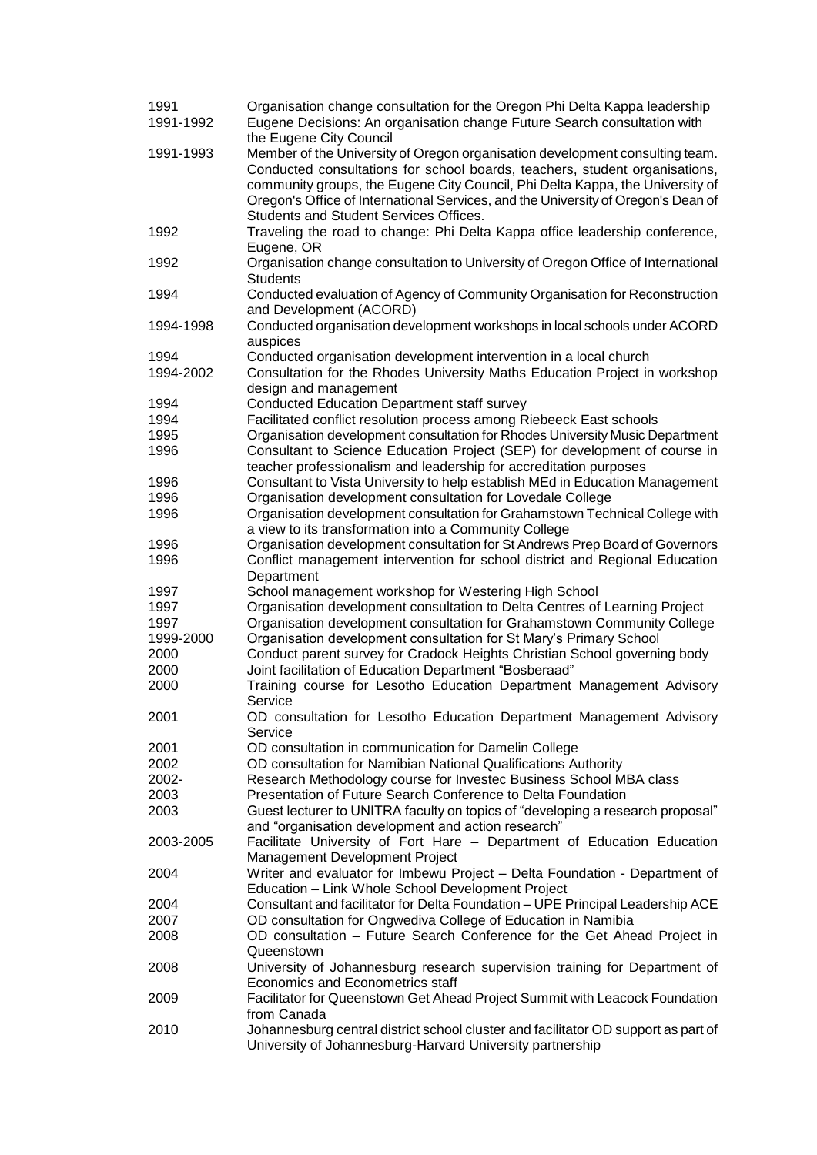| 1991<br>1991-1992 | Organisation change consultation for the Oregon Phi Delta Kappa leadership<br>Eugene Decisions: An organisation change Future Search consultation with                                 |  |  |  |  |  |  |
|-------------------|----------------------------------------------------------------------------------------------------------------------------------------------------------------------------------------|--|--|--|--|--|--|
| 1991-1993         | the Eugene City Council<br>Member of the University of Oregon organisation development consulting team.<br>Conducted consultations for school boards, teachers, student organisations, |  |  |  |  |  |  |
|                   | community groups, the Eugene City Council, Phi Delta Kappa, the University of<br>Oregon's Office of International Services, and the University of Oregon's Dean of                     |  |  |  |  |  |  |
| 1992              | <b>Students and Student Services Offices.</b><br>Traveling the road to change: Phi Delta Kappa office leadership conference,<br>Eugene, OR                                             |  |  |  |  |  |  |
| 1992              | Organisation change consultation to University of Oregon Office of International<br><b>Students</b>                                                                                    |  |  |  |  |  |  |
| 1994              | Conducted evaluation of Agency of Community Organisation for Reconstruction<br>and Development (ACORD)                                                                                 |  |  |  |  |  |  |
| 1994-1998         | Conducted organisation development workshops in local schools under ACORD<br>auspices                                                                                                  |  |  |  |  |  |  |
| 1994              | Conducted organisation development intervention in a local church                                                                                                                      |  |  |  |  |  |  |
| 1994-2002         | Consultation for the Rhodes University Maths Education Project in workshop                                                                                                             |  |  |  |  |  |  |
|                   | design and management                                                                                                                                                                  |  |  |  |  |  |  |
| 1994              | <b>Conducted Education Department staff survey</b>                                                                                                                                     |  |  |  |  |  |  |
| 1994              | Facilitated conflict resolution process among Riebeeck East schools                                                                                                                    |  |  |  |  |  |  |
| 1995              | Organisation development consultation for Rhodes University Music Department                                                                                                           |  |  |  |  |  |  |
| 1996              | Consultant to Science Education Project (SEP) for development of course in                                                                                                             |  |  |  |  |  |  |
|                   | teacher professionalism and leadership for accreditation purposes                                                                                                                      |  |  |  |  |  |  |
| 1996              | Consultant to Vista University to help establish MEd in Education Management                                                                                                           |  |  |  |  |  |  |
| 1996              | Organisation development consultation for Lovedale College                                                                                                                             |  |  |  |  |  |  |
| 1996              | Organisation development consultation for Grahamstown Technical College with<br>a view to its transformation into a Community College                                                  |  |  |  |  |  |  |
| 1996              | Organisation development consultation for St Andrews Prep Board of Governors                                                                                                           |  |  |  |  |  |  |
| 1996              | Conflict management intervention for school district and Regional Education<br>Department                                                                                              |  |  |  |  |  |  |
| 1997              | School management workshop for Westering High School                                                                                                                                   |  |  |  |  |  |  |
| 1997              | Organisation development consultation to Delta Centres of Learning Project                                                                                                             |  |  |  |  |  |  |
| 1997              | Organisation development consultation for Grahamstown Community College                                                                                                                |  |  |  |  |  |  |
| 1999-2000         |                                                                                                                                                                                        |  |  |  |  |  |  |
| 2000              | Organisation development consultation for St Mary's Primary School                                                                                                                     |  |  |  |  |  |  |
| 2000              | Conduct parent survey for Cradock Heights Christian School governing body<br>Joint facilitation of Education Department "Bosberaad"                                                    |  |  |  |  |  |  |
| 2000              | Training course for Lesotho Education Department Management Advisory                                                                                                                   |  |  |  |  |  |  |
|                   | Service                                                                                                                                                                                |  |  |  |  |  |  |
| 2001              | OD consultation for Lesotho Education Department Management Advisory<br>Service                                                                                                        |  |  |  |  |  |  |
| 2001              | OD consultation in communication for Damelin College                                                                                                                                   |  |  |  |  |  |  |
| 2002              | OD consultation for Namibian National Qualifications Authority                                                                                                                         |  |  |  |  |  |  |
| 2002-             | Research Methodology course for Investec Business School MBA class                                                                                                                     |  |  |  |  |  |  |
| 2003              | Presentation of Future Search Conference to Delta Foundation                                                                                                                           |  |  |  |  |  |  |
| 2003              | Guest lecturer to UNITRA faculty on topics of "developing a research proposal"<br>and "organisation development and action research"                                                   |  |  |  |  |  |  |
| 2003-2005         | Facilitate University of Fort Hare - Department of Education Education<br>Management Development Project                                                                               |  |  |  |  |  |  |
| 2004              | Writer and evaluator for Imbewu Project - Delta Foundation - Department of<br>Education - Link Whole School Development Project                                                        |  |  |  |  |  |  |
| 2004              | Consultant and facilitator for Delta Foundation - UPE Principal Leadership ACE                                                                                                         |  |  |  |  |  |  |
| 2007              | OD consultation for Ongwediva College of Education in Namibia                                                                                                                          |  |  |  |  |  |  |
| 2008              | OD consultation - Future Search Conference for the Get Ahead Project in                                                                                                                |  |  |  |  |  |  |
|                   | Queenstown                                                                                                                                                                             |  |  |  |  |  |  |
| 2008              | University of Johannesburg research supervision training for Department of                                                                                                             |  |  |  |  |  |  |
|                   | Economics and Econometrics staff                                                                                                                                                       |  |  |  |  |  |  |
| 2009              | Facilitator for Queenstown Get Ahead Project Summit with Leacock Foundation                                                                                                            |  |  |  |  |  |  |
|                   | from Canada                                                                                                                                                                            |  |  |  |  |  |  |
| 2010              | Johannesburg central district school cluster and facilitator OD support as part of<br>University of Johannesburg-Harvard University partnership                                        |  |  |  |  |  |  |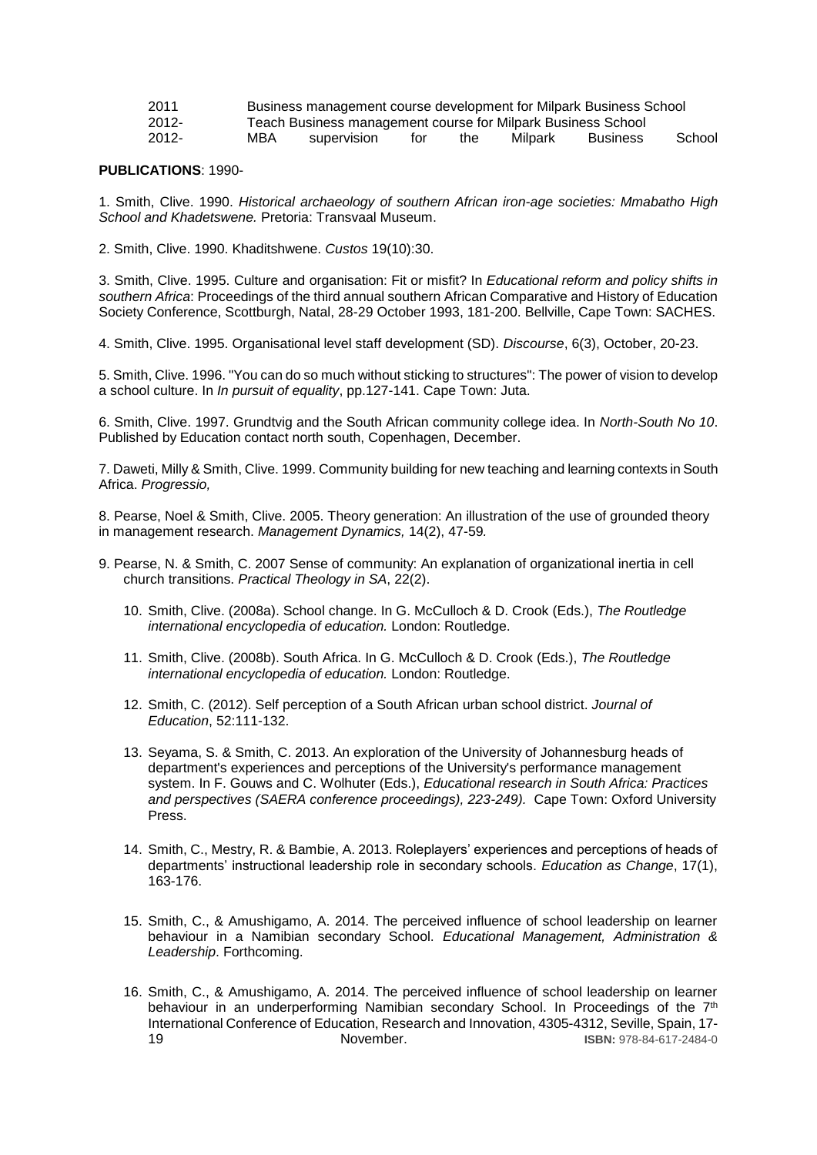| 2011     |     | Business management course development for Milpark Business School |     |     |         |          |        |  |  |
|----------|-----|--------------------------------------------------------------------|-----|-----|---------|----------|--------|--|--|
| $2012 -$ |     | Teach Business management course for Milpark Business School       |     |     |         |          |        |  |  |
| $2012 -$ | MBA | supervision                                                        | tor | the | Milpark | Business | School |  |  |

#### **PUBLICATIONS**: 1990-

1. Smith, Clive. 1990. *Historical archaeology of southern African iron-age societies: Mmabatho High School and Khadetswene.* Pretoria: Transvaal Museum.

2. Smith, Clive. 1990. Khaditshwene. *Custos* 19(10):30.

3. Smith, Clive. 1995. Culture and organisation: Fit or misfit? In *Educational reform and policy shifts in southern Africa*: Proceedings of the third annual southern African Comparative and History of Education Society Conference, Scottburgh, Natal, 28-29 October 1993, 181-200. Bellville, Cape Town: SACHES.

4. Smith, Clive. 1995. Organisational level staff development (SD). *Discourse*, 6(3), October, 20-23.

5. Smith, Clive. 1996. "You can do so much without sticking to structures": The power of vision to develop a school culture. In *In pursuit of equality*, pp.127-141. Cape Town: Juta.

6. Smith, Clive. 1997. Grundtvig and the South African community college idea. In *North-South No 10*. Published by Education contact north south, Copenhagen, December.

7. Daweti, Milly & Smith, Clive. 1999. Community building for new teaching and learning contexts in South Africa. *Progressio,*

8. Pearse, Noel & Smith, Clive. 2005. Theory generation: An illustration of the use of grounded theory in management research. *Management Dynamics,* 14(2), 47-59*.*

- 9. Pearse, N. & Smith, C. 2007 Sense of community: An explanation of organizational inertia in cell church transitions. *Practical Theology in SA*, 22(2).
	- 10. Smith, Clive. (2008a). School change. In G. McCulloch & D. Crook (Eds.), *The Routledge international encyclopedia of education.* London: Routledge.
	- 11. Smith, Clive. (2008b). South Africa. In G. McCulloch & D. Crook (Eds.), *The Routledge international encyclopedia of education.* London: Routledge.
	- 12. Smith, C. (2012). Self perception of a South African urban school district. *Journal of Education*, 52:111-132.
	- 13. Seyama, S. & Smith, C. 2013. An exploration of the University of Johannesburg heads of department's experiences and perceptions of the University's performance management system. In F. Gouws and C. Wolhuter (Eds.), *Educational research in South Africa: Practices and perspectives (SAERA conference proceedings), 223-249).* Cape Town: Oxford University Press.
	- 14. Smith, C., Mestry, R. & Bambie, A. 2013. Roleplayers' experiences and perceptions of heads of departments' instructional leadership role in secondary schools. *Education as Change*, 17(1), 163-176.
	- 15. Smith, C., & Amushigamo, A. 2014. The perceived influence of school leadership on learner behaviour in a Namibian secondary School. *Educational Management, Administration & Leadership*. Forthcoming.
	- 16. Smith, C., & Amushigamo, A. 2014. The perceived influence of school leadership on learner behaviour in an underperforming Namibian secondary School. In Proceedings of the 7<sup>th</sup> International Conference of Education, Research and Innovation, 4305-4312, Seville, Spain, 17- 19 November. **ISBN:** 978-84-617-2484-0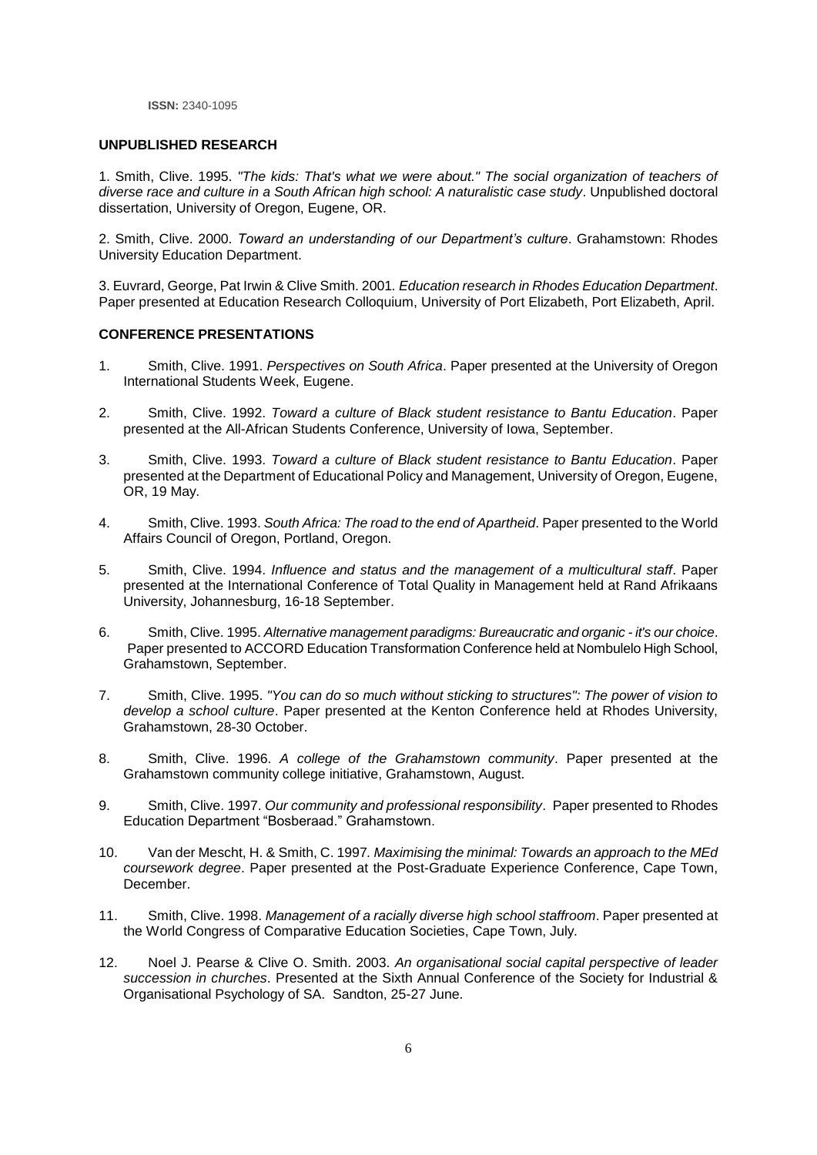**ISSN:** 2340-1095

#### **UNPUBLISHED RESEARCH**

1. Smith, Clive. 1995. *"The kids: That's what we were about." The social organization of teachers of diverse race and culture in a South African high school: A naturalistic case study*. Unpublished doctoral dissertation, University of Oregon, Eugene, OR.

2. Smith, Clive. 2000. *Toward an understanding of our Department's culture*. Grahamstown: Rhodes University Education Department.

3. Euvrard, George, Pat Irwin & Clive Smith. 2001*. Education research in Rhodes Education Department*. Paper presented at Education Research Colloquium, University of Port Elizabeth, Port Elizabeth, April.

#### **CONFERENCE PRESENTATIONS**

- 1. Smith, Clive. 1991. *Perspectives on South Africa*. Paper presented at the University of Oregon International Students Week, Eugene.
- 2. Smith, Clive. 1992. *Toward a culture of Black student resistance to Bantu Education*. Paper presented at the All-African Students Conference, University of Iowa, September.
- 3. Smith, Clive. 1993. *Toward a culture of Black student resistance to Bantu Education*. Paper presented at the Department of Educational Policy and Management, University of Oregon, Eugene, OR, 19 May.
- 4. Smith, Clive. 1993. *South Africa: The road to the end of Apartheid*. Paper presented to the World Affairs Council of Oregon, Portland, Oregon.
- 5. Smith, Clive. 1994. *Influence and status and the management of a multicultural staff*. Paper presented at the International Conference of Total Quality in Management held at Rand Afrikaans University, Johannesburg, 16-18 September.
- 6. Smith, Clive. 1995. *Alternative management paradigms: Bureaucratic and organic - it's our choice*. Paper presented to ACCORD Education Transformation Conference held at Nombulelo High School, Grahamstown, September.
- 7. Smith, Clive. 1995. *"You can do so much without sticking to structures": The power of vision to develop a school culture*. Paper presented at the Kenton Conference held at Rhodes University, Grahamstown, 28-30 October.
- 8. Smith, Clive. 1996. *A college of the Grahamstown community*. Paper presented at the Grahamstown community college initiative, Grahamstown, August.
- 9. Smith, Clive. 1997. *Our community and professional responsibility*. Paper presented to Rhodes Education Department "Bosberaad." Grahamstown.
- 10. Van der Mescht, H. & Smith, C. 1997*. Maximising the minimal: Towards an approach to the MEd coursework degree*. Paper presented at the Post-Graduate Experience Conference, Cape Town, December.
- 11. Smith, Clive. 1998. *Management of a racially diverse high school staffroom*. Paper presented at the World Congress of Comparative Education Societies, Cape Town, July.
- 12. Noel J. Pearse & Clive O. Smith. 2003. *An organisational social capital perspective of leader succession in churches*. Presented at the Sixth Annual Conference of the Society for Industrial & Organisational Psychology of SA. Sandton, 25-27 June.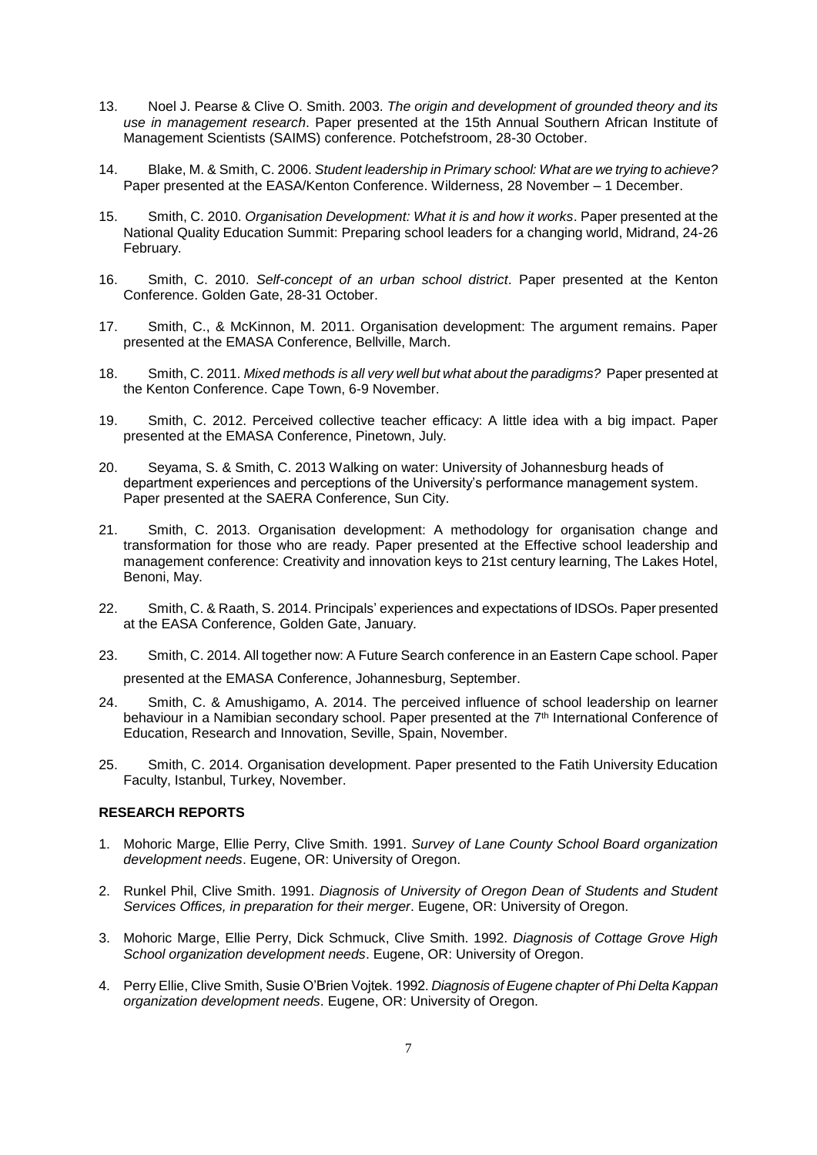- 13. Noel J. Pearse & Clive O. Smith. 2003. *The origin and development of grounded theory and its use in management research*. Paper presented at the 15th Annual Southern African Institute of Management Scientists (SAIMS) conference. Potchefstroom, 28-30 October.
- 14. Blake, M. & Smith, C. 2006. *Student leadership in Primary school: What are we trying to achieve?* Paper presented at the EASA/Kenton Conference. Wilderness, 28 November – 1 December.
- 15. Smith, C. 2010. *Organisation Development: What it is and how it works*. Paper presented at the National Quality Education Summit: Preparing school leaders for a changing world, Midrand, 24-26 February.
- 16. Smith, C. 2010. *Self-concept of an urban school district*. Paper presented at the Kenton Conference. Golden Gate, 28-31 October.
- 17. Smith, C., & McKinnon, M. 2011. Organisation development: The argument remains. Paper presented at the EMASA Conference, Bellville, March.
- 18. Smith, C. 2011. *Mixed methods is all very well but what about the paradigms?* Paper presented at the Kenton Conference. Cape Town, 6-9 November.
- 19. Smith, C. 2012. Perceived collective teacher efficacy: A little idea with a big impact. Paper presented at the EMASA Conference, Pinetown, July.
- 20. Seyama, S. & Smith, C. 2013 Walking on water: University of Johannesburg heads of department experiences and perceptions of the University's performance management system. Paper presented at the SAERA Conference, Sun City.
- 21. Smith, C. 2013. Organisation development: A methodology for organisation change and transformation for those who are ready. Paper presented at the Effective school leadership and management conference: Creativity and innovation keys to 21st century learning, The Lakes Hotel, Benoni, May.
- 22. Smith, C. & Raath, S. 2014. Principals' experiences and expectations of IDSOs. Paper presented at the EASA Conference, Golden Gate, January.
- 23. Smith, C. 2014. All together now: A Future Search conference in an Eastern Cape school. Paper

presented at the EMASA Conference, Johannesburg, September.

- 24. Smith, C. & Amushigamo, A. 2014. The perceived influence of school leadership on learner behaviour in a Namibian secondary school. Paper presented at the 7<sup>th</sup> International Conference of Education, Research and Innovation, Seville, Spain, November.
- 25. Smith, C. 2014. Organisation development. Paper presented to the Fatih University Education Faculty, Istanbul, Turkey, November.

### **RESEARCH REPORTS**

- 1. Mohoric Marge, Ellie Perry, Clive Smith. 1991. *Survey of Lane County School Board organization development needs*. Eugene, OR: University of Oregon.
- 2. Runkel Phil, Clive Smith. 1991. *Diagnosis of University of Oregon Dean of Students and Student Services Offices, in preparation for their merger*. Eugene, OR: University of Oregon.
- 3. Mohoric Marge, Ellie Perry, Dick Schmuck, Clive Smith. 1992. *Diagnosis of Cottage Grove High School organization development needs*. Eugene, OR: University of Oregon.
- 4. Perry Ellie, Clive Smith, Susie O'Brien Vojtek. 1992. *Diagnosis of Eugene chapter of Phi Delta Kappan organization development needs*. Eugene, OR: University of Oregon.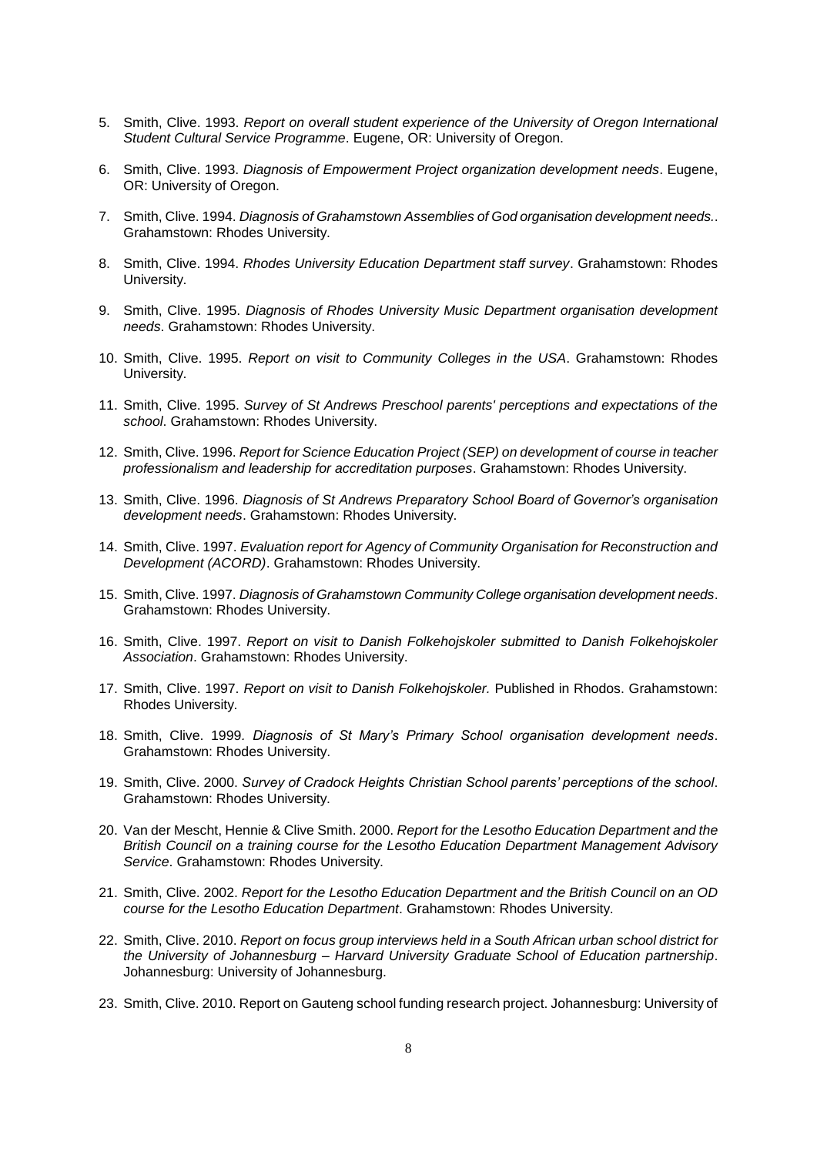- 5. Smith, Clive. 1993. *Report on overall student experience of the University of Oregon International Student Cultural Service Programme*. Eugene, OR: University of Oregon.
- 6. Smith, Clive. 1993. *Diagnosis of Empowerment Project organization development needs*. Eugene, OR: University of Oregon.
- 7. Smith, Clive. 1994. *Diagnosis of Grahamstown Assemblies of God organisation development needs.*. Grahamstown: Rhodes University.
- 8. Smith, Clive. 1994. *Rhodes University Education Department staff survey*. Grahamstown: Rhodes University.
- 9. Smith, Clive. 1995. *Diagnosis of Rhodes University Music Department organisation development needs*. Grahamstown: Rhodes University.
- 10. Smith, Clive. 1995. *Report on visit to Community Colleges in the USA*. Grahamstown: Rhodes University.
- 11. Smith, Clive. 1995. *Survey of St Andrews Preschool parents' perceptions and expectations of the school*. Grahamstown: Rhodes University.
- 12. Smith, Clive. 1996. *Report for Science Education Project (SEP) on development of course in teacher professionalism and leadership for accreditation purposes*. Grahamstown: Rhodes University.
- 13. Smith, Clive. 1996. *Diagnosis of St Andrews Preparatory School Board of Governor's organisation development needs*. Grahamstown: Rhodes University.
- 14. Smith, Clive. 1997. *Evaluation report for Agency of Community Organisation for Reconstruction and Development (ACORD)*. Grahamstown: Rhodes University.
- 15. Smith, Clive. 1997. *Diagnosis of Grahamstown Community College organisation development needs*. Grahamstown: Rhodes University.
- 16. Smith, Clive. 1997. *Report on visit to Danish Folkehojskoler submitted to Danish Folkehojskoler Association*. Grahamstown: Rhodes University.
- 17. Smith, Clive. 1997. *Report on visit to Danish Folkehojskoler.* Published in Rhodos. Grahamstown: Rhodes University.
- 18. Smith, Clive. 1999*. Diagnosis of St Mary's Primary School organisation development needs*. Grahamstown: Rhodes University.
- 19. Smith, Clive. 2000. *Survey of Cradock Heights Christian School parents' perceptions of the school*. Grahamstown: Rhodes University.
- 20. Van der Mescht, Hennie & Clive Smith. 2000. *Report for the Lesotho Education Department and the British Council on a training course for the Lesotho Education Department Management Advisory Service*. Grahamstown: Rhodes University.
- 21. Smith, Clive. 2002. *Report for the Lesotho Education Department and the British Council on an OD course for the Lesotho Education Department*. Grahamstown: Rhodes University.
- 22. Smith, Clive. 2010. *Report on focus group interviews held in a South African urban school district for the University of Johannesburg – Harvard University Graduate School of Education partnership*. Johannesburg: University of Johannesburg.
- 23. Smith, Clive. 2010. Report on Gauteng school funding research project. Johannesburg: University of